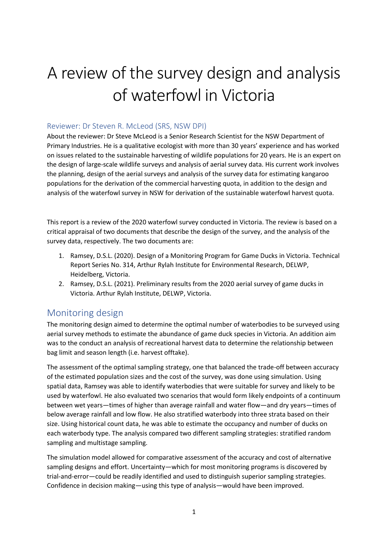# A review of the survey design and analysis of waterfowl in Victoria

#### Reviewer: Dr Steven R. McLeod (SRS, NSW DPI)

About the reviewer: Dr Steve McLeod is a Senior Research Scientist for the NSW Department of Primary Industries. He is a qualitative ecologist with more than 30 years' experience and has worked on issues related to the sustainable harvesting of wildlife populations for 20 years. He is an expert on the design of large-scale wildlife surveys and analysis of aerial survey data. His current work involves the planning, design of the aerial surveys and analysis of the survey data for estimating kangaroo populations for the derivation of the commercial harvesting quota, in addition to the design and analysis of the waterfowl survey in NSW for derivation of the sustainable waterfowl harvest quota.

This report is a review of the 2020 waterfowl survey conducted in Victoria. The review is based on a critical appraisal of two documents that describe the design of the survey, and the analysis of the survey data, respectively. The two documents are:

- 1. Ramsey, D.S.L. (2020). Design of a Monitoring Program for Game Ducks in Victoria. Technical Report Series No. 314, Arthur Rylah Institute for Environmental Research, DELWP, Heidelberg, Victoria.
- 2. Ramsey, D.S.L. (2021). Preliminary results from the 2020 aerial survey of game ducks in Victoria. Arthur Rylah Institute, DELWP, Victoria.

### Monitoring design

The monitoring design aimed to determine the optimal number of waterbodies to be surveyed using aerial survey methods to estimate the abundance of game duck species in Victoria. An addition aim was to the conduct an analysis of recreational harvest data to determine the relationship between bag limit and season length (i.e. harvest offtake).

The assessment of the optimal sampling strategy, one that balanced the trade-off between accuracy of the estimated population sizes and the cost of the survey, was done using simulation. Using spatial data, Ramsey was able to identify waterbodies that were suitable for survey and likely to be used by waterfowl. He also evaluated two scenarios that would form likely endpoints of a continuum between wet years—times of higher than average rainfall and water flow—and dry years—times of below average rainfall and low flow. He also stratified waterbody into three strata based on their size. Using historical count data, he was able to estimate the occupancy and number of ducks on each waterbody type. The analysis compared two different sampling strategies: stratified random sampling and multistage sampling.

The simulation model allowed for comparative assessment of the accuracy and cost of alternative sampling designs and effort. Uncertainty—which for most monitoring programs is discovered by trial-and-error—could be readily identified and used to distinguish superior sampling strategies. Confidence in decision making—using this type of analysis—would have been improved.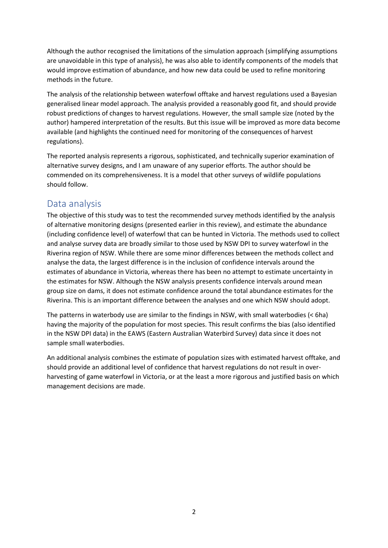Although the author recognised the limitations of the simulation approach (simplifying assumptions are unavoidable in this type of analysis), he was also able to identify components of the models that would improve estimation of abundance, and how new data could be used to refine monitoring methods in the future.

The analysis of the relationship between waterfowl offtake and harvest regulations used a Bayesian generalised linear model approach. The analysis provided a reasonably good fit, and should provide robust predictions of changes to harvest regulations. However, the small sample size (noted by the author) hampered interpretation of the results. But this issue will be improved as more data become available (and highlights the continued need for monitoring of the consequences of harvest regulations).

The reported analysis represents a rigorous, sophisticated, and technically superior examination of alternative survey designs, and I am unaware of any superior efforts. The author should be commended on its comprehensiveness. It is a model that other surveys of wildlife populations should follow.

### Data analysis

The objective of this study was to test the recommended survey methods identified by the analysis of alternative monitoring designs (presented earlier in this review), and estimate the abundance (including confidence level) of waterfowl that can be hunted in Victoria. The methods used to collect and analyse survey data are broadly similar to those used by NSW DPI to survey waterfowl in the Riverina region of NSW. While there are some minor differences between the methods collect and analyse the data, the largest difference is in the inclusion of confidence intervals around the estimates of abundance in Victoria, whereas there has been no attempt to estimate uncertainty in the estimates for NSW. Although the NSW analysis presents confidence intervals around mean group size on dams, it does not estimate confidence around the total abundance estimates for the Riverina. This is an important difference between the analyses and one which NSW should adopt.

The patterns in waterbody use are similar to the findings in NSW, with small waterbodies (< 6ha) having the majority of the population for most species. This result confirms the bias (also identified in the NSW DPI data) in the EAWS (Eastern Australian Waterbird Survey) data since it does not sample small waterbodies.

An additional analysis combines the estimate of population sizes with estimated harvest offtake, and should provide an additional level of confidence that harvest regulations do not result in overharvesting of game waterfowl in Victoria, or at the least a more rigorous and justified basis on which management decisions are made.